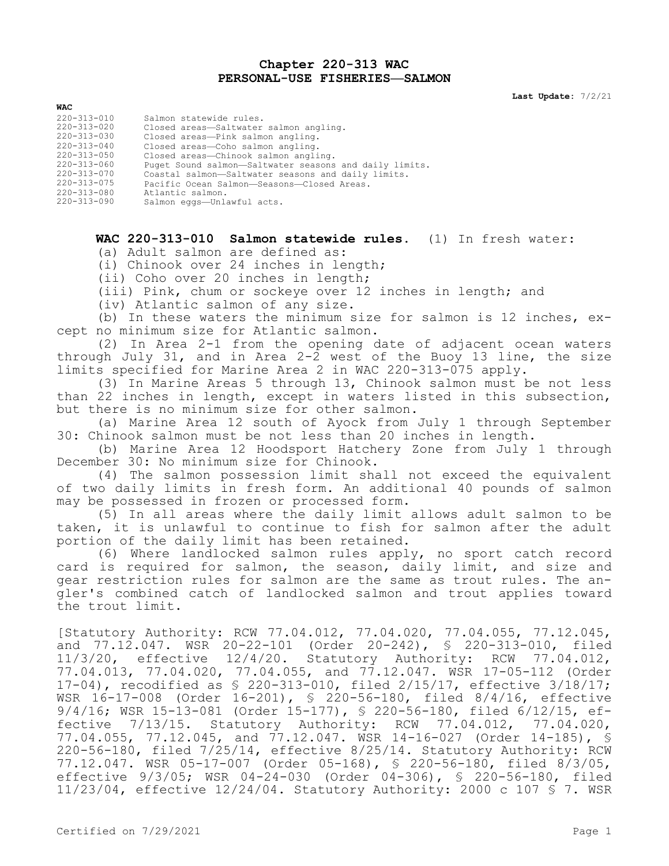## **Chapter 220-313 WAC PERSONAL-USE FISHERIES—SALMON**

**Last Update:** 7/2/21

| WAC         |                                                        |
|-------------|--------------------------------------------------------|
| 220-313-010 | Salmon statewide rules.                                |
| 220-313-020 | Closed areas-Saltwater salmon angling.                 |
| 220-313-030 | Closed areas-Pink salmon angling.                      |
| 220-313-040 | Closed areas-Coho salmon angling.                      |
| 220-313-050 | Closed areas-Chinook salmon angling.                   |
| 220-313-060 | Puget Sound salmon-Saltwater seasons and daily limits. |
| 220-313-070 | Coastal salmon-Saltwater seasons and daily limits.     |
| 220-313-075 | Pacific Ocean Salmon-Seasons-Closed Areas.             |
| 220-313-080 | Atlantic salmon.                                       |
| 220-313-090 | Salmon eqqs-Unlawful acts.                             |

## **WAC 220-313-010 Salmon statewide rules.** (1) In fresh water:

(a) Adult salmon are defined as:

(i) Chinook over 24 inches in length;

(ii) Coho over 20 inches in length;

(iii) Pink, chum or sockeye over 12 inches in length; and

(iv) Atlantic salmon of any size.

(b) In these waters the minimum size for salmon is 12 inches, except no minimum size for Atlantic salmon.

(2) In Area 2-1 from the opening date of adjacent ocean waters through July 31, and in Area 2-2 west of the Buoy 13 line, the size limits specified for Marine Area 2 in WAC 220-313-075 apply.

(3) In Marine Areas 5 through 13, Chinook salmon must be not less than 22 inches in length, except in waters listed in this subsection, but there is no minimum size for other salmon.

(a) Marine Area 12 south of Ayock from July 1 through September 30: Chinook salmon must be not less than 20 inches in length.

(b) Marine Area 12 Hoodsport Hatchery Zone from July 1 through December 30: No minimum size for Chinook.

(4) The salmon possession limit shall not exceed the equivalent of two daily limits in fresh form. An additional 40 pounds of salmon may be possessed in frozen or processed form.

(5) In all areas where the daily limit allows adult salmon to be taken, it is unlawful to continue to fish for salmon after the adult portion of the daily limit has been retained.

(6) Where landlocked salmon rules apply, no sport catch record card is required for salmon, the season, daily limit, and size and gear restriction rules for salmon are the same as trout rules. The angler's combined catch of landlocked salmon and trout applies toward the trout limit.

[Statutory Authority: RCW 77.04.012, 77.04.020, 77.04.055, 77.12.045, and 77.12.047. WSR 20-22-101 (Order 20-242), § 220-313-010, filed 11/3/20, effective 12/4/20. Statutory Authority: RCW 77.04.012, 77.04.013, 77.04.020, 77.04.055, and 77.12.047. WSR 17-05-112 (Order 17-04), recodified as § 220-313-010, filed 2/15/17, effective 3/18/17; WSR 16-17-008 (Order 16-201), § 220-56-180, filed 8/4/16, effective 9/4/16; WSR 15-13-081 (Order 15-177), § 220-56-180, filed 6/12/15, effective 7/13/15. Statutory Authority: RCW 77.04.012, 77.04.020, 77.04.055, 77.12.045, and 77.12.047. WSR 14-16-027 (Order 14-185), § 220-56-180, filed 7/25/14, effective 8/25/14. Statutory Authority: RCW 77.12.047. WSR 05-17-007 (Order 05-168), § 220-56-180, filed 8/3/05, effective 9/3/05; WSR 04-24-030 (Order 04-306), § 220-56-180, filed 11/23/04, effective 12/24/04. Statutory Authority: 2000 c 107 § 7. WSR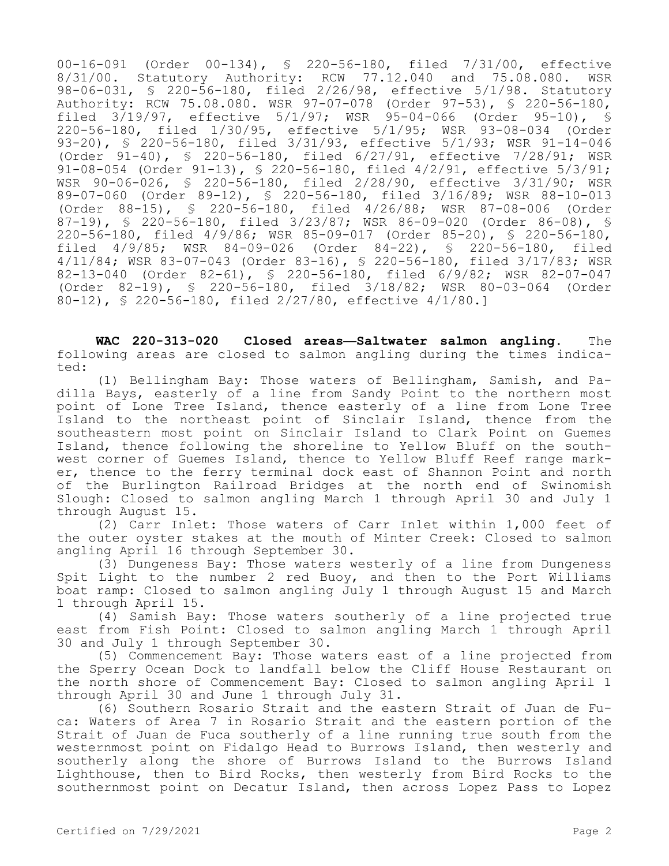00-16-091 (Order 00-134), § 220-56-180, filed 7/31/00, effective 8/31/00. Statutory Authority: RCW 77.12.040 and 75.08.080. WSR 98-06-031, § 220-56-180, filed 2/26/98, effective 5/1/98. Statutory Authority: RCW 75.08.080. WSR 97-07-078 (Order 97-53), § 220-56-180, filed 3/19/97, effective 5/1/97; WSR 95-04-066 (Order 95-10), § 220-56-180, filed 1/30/95, effective 5/1/95; WSR 93-08-034 (Order 93-20), § 220-56-180, filed 3/31/93, effective 5/1/93; WSR 91-14-046 (Order 91-40), § 220-56-180, filed 6/27/91, effective 7/28/91; WSR 91-08-054 (Order 91-13), § 220-56-180, filed 4/2/91, effective 5/3/91; WSR 90-06-026, § 220-56-180, filed 2/28/90, effective 3/31/90; WSR 89-07-060 (Order 89-12), § 220-56-180, filed 3/16/89; WSR 88-10-013 (Order 88-15), § 220-56-180, filed 4/26/88; WSR 87-08-006 (Order 87-19), § 220-56-180, filed 3/23/87; WSR 86-09-020 (Order 86-08), § 220-56-180, filed 4/9/86; WSR 85-09-017 (Order 85-20), § 220-56-180, filed 4/9/85; WSR 84-09-026 (Order 84-22), § 220-56-180, filed 4/11/84; WSR 83-07-043 (Order 83-16), § 220-56-180, filed 3/17/83; WSR 82-13-040 (Order 82-61), § 220-56-180, filed 6/9/82; WSR 82-07-047 (Order 82-19), § 220-56-180, filed 3/18/82; WSR 80-03-064 (Order 80-12), § 220-56-180, filed 2/27/80, effective 4/1/80.]

**WAC 220-313-020 Closed areas—Saltwater salmon angling.** The following areas are closed to salmon angling during the times indicated:

(1) Bellingham Bay: Those waters of Bellingham, Samish, and Padilla Bays, easterly of a line from Sandy Point to the northern most point of Lone Tree Island, thence easterly of a line from Lone Tree Island to the northeast point of Sinclair Island, thence from the southeastern most point on Sinclair Island to Clark Point on Guemes Island, thence following the shoreline to Yellow Bluff on the southwest corner of Guemes Island, thence to Yellow Bluff Reef range marker, thence to the ferry terminal dock east of Shannon Point and north of the Burlington Railroad Bridges at the north end of Swinomish Slough: Closed to salmon angling March 1 through April 30 and July 1 through August 15.

(2) Carr Inlet: Those waters of Carr Inlet within 1,000 feet of the outer oyster stakes at the mouth of Minter Creek: Closed to salmon angling April 16 through September 30.

(3) Dungeness Bay: Those waters westerly of a line from Dungeness Spit Light to the number 2 red Buoy, and then to the Port Williams boat ramp: Closed to salmon angling July 1 through August 15 and March 1 through April 15.

(4) Samish Bay: Those waters southerly of a line projected true east from Fish Point: Closed to salmon angling March 1 through April 30 and July 1 through September 30.

(5) Commencement Bay: Those waters east of a line projected from the Sperry Ocean Dock to landfall below the Cliff House Restaurant on the north shore of Commencement Bay: Closed to salmon angling April 1 through April 30 and June 1 through July 31.

(6) Southern Rosario Strait and the eastern Strait of Juan de Fuca: Waters of Area 7 in Rosario Strait and the eastern portion of the Strait of Juan de Fuca southerly of a line running true south from the westernmost point on Fidalgo Head to Burrows Island, then westerly and southerly along the shore of Burrows Island to the Burrows Island Lighthouse, then to Bird Rocks, then westerly from Bird Rocks to the southernmost point on Decatur Island, then across Lopez Pass to Lopez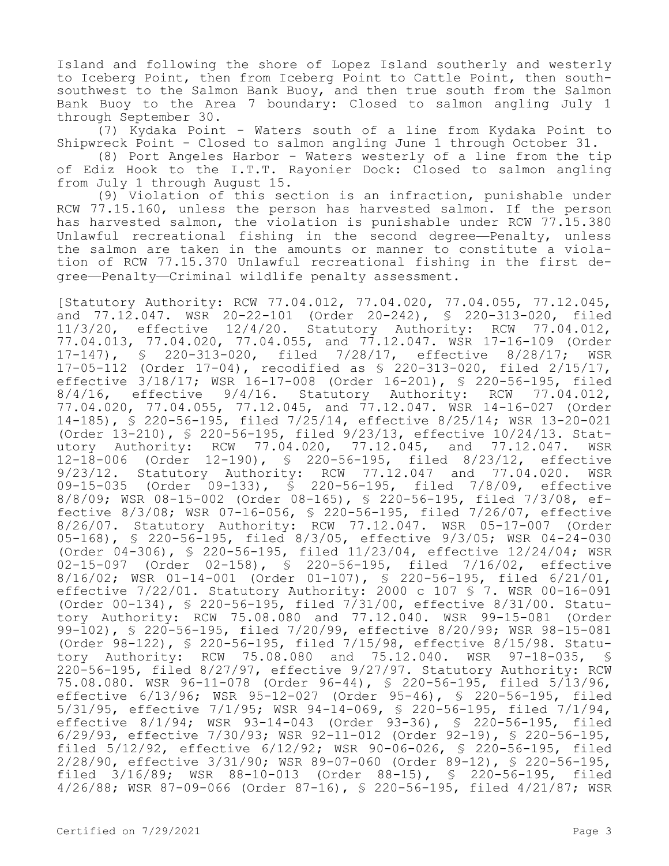Island and following the shore of Lopez Island southerly and westerly to Iceberg Point, then from Iceberg Point to Cattle Point, then southsouthwest to the Salmon Bank Buoy, and then true south from the Salmon Bank Buoy to the Area 7 boundary: Closed to salmon angling July 1 through September 30.

(7) Kydaka Point - Waters south of a line from Kydaka Point to Shipwreck Point - Closed to salmon angling June 1 through October 31.

(8) Port Angeles Harbor - Waters westerly of a line from the tip of Ediz Hook to the I.T.T. Rayonier Dock: Closed to salmon angling from July 1 through August 15.

(9) Violation of this section is an infraction, punishable under RCW 77.15.160, unless the person has harvested salmon. If the person has harvested salmon, the violation is punishable under RCW 77.15.380 Unlawful recreational fishing in the second degree—Penalty, unless the salmon are taken in the amounts or manner to constitute a violation of RCW 77.15.370 Unlawful recreational fishing in the first degree—Penalty—Criminal wildlife penalty assessment.

[Statutory Authority: RCW 77.04.012, 77.04.020, 77.04.055, 77.12.045, and 77.12.047. WSR 20-22-101 (Order 20-242), § 220-313-020, filed 11/3/20, effective 12/4/20. Statutory Authority: RCW 77.04.012, 77.04.013, 77.04.020, 77.04.055, and 77.12.047. WSR 17-16-109 (Order 17-147), § 220-313-020, filed 7/28/17, effective 8/28/17; WSR 17-05-112 (Order 17-04), recodified as § 220-313-020, filed 2/15/17, effective 3/18/17; WSR 16-17-008 (Order 16-201), § 220-56-195, filed  $8/4/16$ , effective  $9/4/16$ . Statutory Authority: RCW 77.04.012, 77.04.020, 77.04.055, 77.12.045, and 77.12.047. WSR 14-16-027 (Order 14-185), § 220-56-195, filed 7/25/14, effective 8/25/14; WSR 13-20-021 (Order 13-210), § 220-56-195, filed 9/23/13, effective 10/24/13. Statutory Authority: RCW 77.04.020, 77.12.045, and 77.12.047. WSR 12-18-006 (Order 12-190), § 220-56-195, filed 8/23/12, effective 9/23/12. Statutory Authority: RCW 77.12.047 and 77.04.020. WSR 09-15-035 (Order 09-133), § 220-56-195, filed 7/8/09, effective 8/8/09; WSR 08-15-002 (Order 08-165), § 220-56-195, filed 7/3/08, effective 8/3/08; WSR 07-16-056, § 220-56-195, filed 7/26/07, effective 8/26/07. Statutory Authority: RCW 77.12.047. WSR 05-17-007 (Order 05-168), § 220-56-195, filed 8/3/05, effective 9/3/05; WSR 04-24-030 (Order 04-306), § 220-56-195, filed 11/23/04, effective 12/24/04; WSR 02-15-097 (Order 02-158), § 220-56-195, filed 7/16/02, effective 8/16/02; WSR 01-14-001 (Order 01-107), § 220-56-195, filed 6/21/01, effective 7/22/01. Statutory Authority: 2000 c 107 § 7. WSR 00-16-091 (Order 00-134), § 220-56-195, filed 7/31/00, effective 8/31/00. Statutory Authority: RCW 75.08.080 and 77.12.040. WSR 99-15-081 (Order 99-102), § 220-56-195, filed 7/20/99, effective 8/20/99; WSR 98-15-081 (Order 98-122), § 220-56-195, filed 7/15/98, effective 8/15/98. Statutory Authority: RCW 75.08.080 and 75.12.040. WSR 97-18-035, § 220-56-195, filed 8/27/97, effective 9/27/97. Statutory Authority: RCW 75.08.080. WSR 96-11-078 (Order 96-44), § 220-56-195, filed 5/13/96, effective 6/13/96; WSR 95-12-027 (Order 95-46), § 220-56-195, filed 5/31/95, effective 7/1/95; WSR 94-14-069, § 220-56-195, filed 7/1/94, effective 8/1/94; WSR 93-14-043 (Order 93-36), § 220-56-195, filed 6/29/93, effective 7/30/93; WSR 92-11-012 (Order 92-19), § 220-56-195, filed 5/12/92, effective 6/12/92; WSR 90-06-026, § 220-56-195, filed 2/28/90, effective 3/31/90; WSR 89-07-060 (Order 89-12), § 220-56-195, filed 3/16/89; WSR 88-10-013 (Order 88-15), § 220-56-195, filed 4/26/88; WSR 87-09-066 (Order 87-16), § 220-56-195, filed 4/21/87; WSR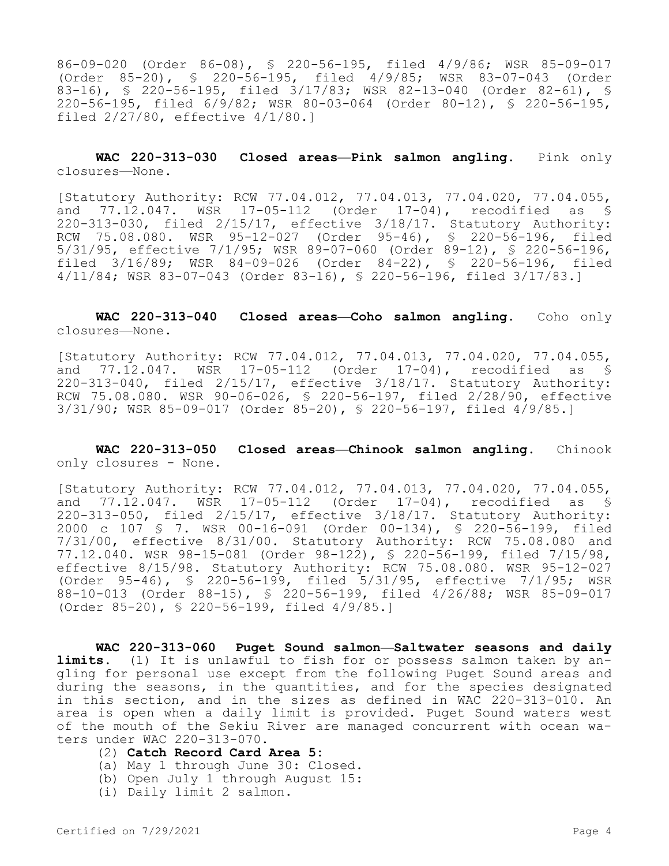86-09-020 (Order 86-08), § 220-56-195, filed 4/9/86; WSR 85-09-017 (Order 85-20), § 220-56-195, filed 4/9/85; WSR 83-07-043 (Order 83-16), § 220-56-195, filed 3/17/83; WSR 82-13-040 (Order 82-61), § 220-56-195, filed 6/9/82; WSR 80-03-064 (Order 80-12), § 220-56-195, filed 2/27/80, effective 4/1/80.]

**WAC 220-313-030 Closed areas—Pink salmon angling.** Pink only closures—None.

[Statutory Authority: RCW 77.04.012, 77.04.013, 77.04.020, 77.04.055, and 77.12.047. WSR 17-05-112 (Order 17-04), recodified as § 220-313-030, filed 2/15/17, effective 3/18/17. Statutory Authority: RCW 75.08.080. WSR 95-12-027 (Order 95-46), § 220-56-196, filed 5/31/95, effective 7/1/95; WSR 89-07-060 (Order 89-12), § 220-56-196, filed 3/16/89; WSR 84-09-026 (Order 84-22), § 220-56-196, filed 4/11/84; WSR 83-07-043 (Order 83-16), § 220-56-196, filed 3/17/83.]

**WAC 220-313-040 Closed areas—Coho salmon angling.** Coho only closures—None.

[Statutory Authority: RCW 77.04.012, 77.04.013, 77.04.020, 77.04.055, and 77.12.047. WSR 17-05-112 (Order 17-04), recodified as § 220-313-040, filed 2/15/17, effective 3/18/17. Statutory Authority: RCW 75.08.080. WSR 90-06-026, § 220-56-197, filed 2/28/90, effective 3/31/90; WSR 85-09-017 (Order 85-20), § 220-56-197, filed 4/9/85.]

**WAC 220-313-050 Closed areas—Chinook salmon angling.** Chinook only closures - None.

[Statutory Authority: RCW 77.04.012, 77.04.013, 77.04.020, 77.04.055, and 77.12.047. WSR 17-05-112 (Order 17-04), recodified as § 220-313-050, filed 2/15/17, effective 3/18/17. Statutory Authority: 2000 c 107 § 7. WSR 00-16-091 (Order 00-134), § 220-56-199, filed 7/31/00, effective 8/31/00. Statutory Authority: RCW 75.08.080 and 77.12.040. WSR 98-15-081 (Order 98-122), § 220-56-199, filed 7/15/98, effective 8/15/98. Statutory Authority: RCW 75.08.080. WSR 95-12-027 (Order 95-46), § 220-56-199, filed 5/31/95, effective 7/1/95; WSR 88-10-013 (Order 88-15), § 220-56-199, filed 4/26/88; WSR 85-09-017 (Order 85-20), § 220-56-199, filed 4/9/85.]

**WAC 220-313-060 Puget Sound salmon—Saltwater seasons and daily limits.** (1) It is unlawful to fish for or possess salmon taken by angling for personal use except from the following Puget Sound areas and during the seasons, in the quantities, and for the species designated in this section, and in the sizes as defined in WAC 220-313-010. An area is open when a daily limit is provided. Puget Sound waters west of the mouth of the Sekiu River are managed concurrent with ocean waters under WAC 220-313-070.

- (2) **Catch Record Card Area 5:**
- (a) May 1 through June 30: Closed.
- (b) Open July 1 through August 15:
- (i) Daily limit 2 salmon.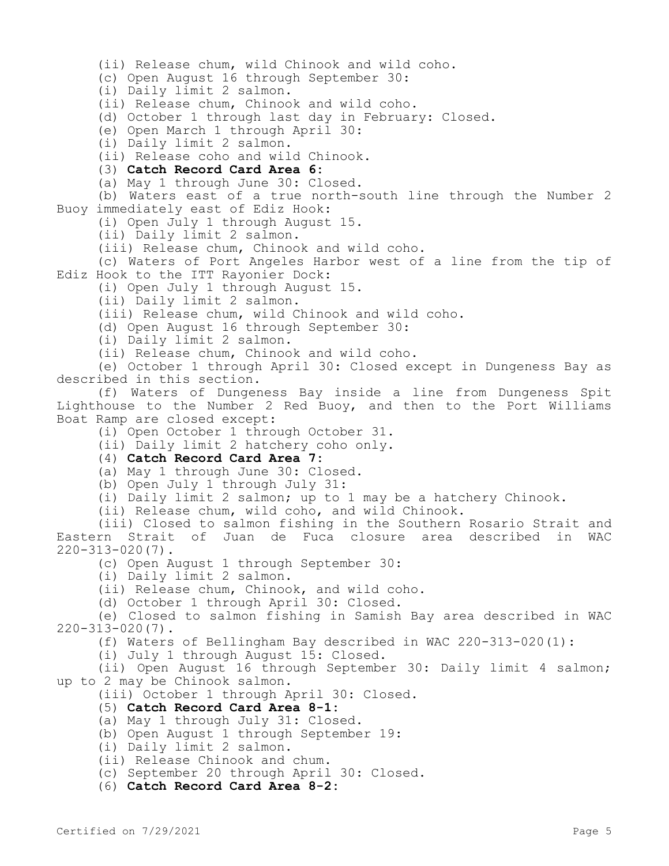(ii) Release chum, wild Chinook and wild coho. (c) Open August 16 through September 30: (i) Daily limit 2 salmon. (ii) Release chum, Chinook and wild coho. (d) October 1 through last day in February: Closed. (e) Open March 1 through April 30: (i) Daily limit 2 salmon. (ii) Release coho and wild Chinook. (3) **Catch Record Card Area 6:** (a) May 1 through June 30: Closed. (b) Waters east of a true north-south line through the Number 2 Buoy immediately east of Ediz Hook: (i) Open July 1 through August 15. (ii) Daily limit 2 salmon. (iii) Release chum, Chinook and wild coho. (c) Waters of Port Angeles Harbor west of a line from the tip of Ediz Hook to the ITT Rayonier Dock: (i) Open July 1 through August 15. (ii) Daily limit 2 salmon. (iii) Release chum, wild Chinook and wild coho. (d) Open August 16 through September 30: (i) Daily limit 2 salmon. (ii) Release chum, Chinook and wild coho. (e) October 1 through April 30: Closed except in Dungeness Bay as described in this section. (f) Waters of Dungeness Bay inside a line from Dungeness Spit Lighthouse to the Number 2 Red Buoy, and then to the Port Williams Boat Ramp are closed except: (i) Open October 1 through October 31. (ii) Daily limit 2 hatchery coho only. (4) **Catch Record Card Area 7:** (a) May 1 through June 30: Closed. (b) Open July 1 through July 31: (i) Daily limit 2 salmon; up to 1 may be a hatchery Chinook. (ii) Release chum, wild coho, and wild Chinook. (iii) Closed to salmon fishing in the Southern Rosario Strait and Eastern Strait of Juan de Fuca closure area described in WAC 220-313-020(7). (c) Open August 1 through September 30: (i) Daily limit 2 salmon. (ii) Release chum, Chinook, and wild coho. (d) October 1 through April 30: Closed. (e) Closed to salmon fishing in Samish Bay area described in WAC 220-313-020(7). (f) Waters of Bellingham Bay described in WAC 220-313-020(1): (i) July 1 through August 15: Closed. (ii) Open August 16 through September 30: Daily limit 4 salmon; up to 2 may be Chinook salmon. (iii) October 1 through April 30: Closed. (5) **Catch Record Card Area 8-1:** (a) May 1 through July 31: Closed. (b) Open August 1 through September 19: (i) Daily limit 2 salmon. (ii) Release Chinook and chum. (c) September 20 through April 30: Closed. (6) **Catch Record Card Area 8-2:**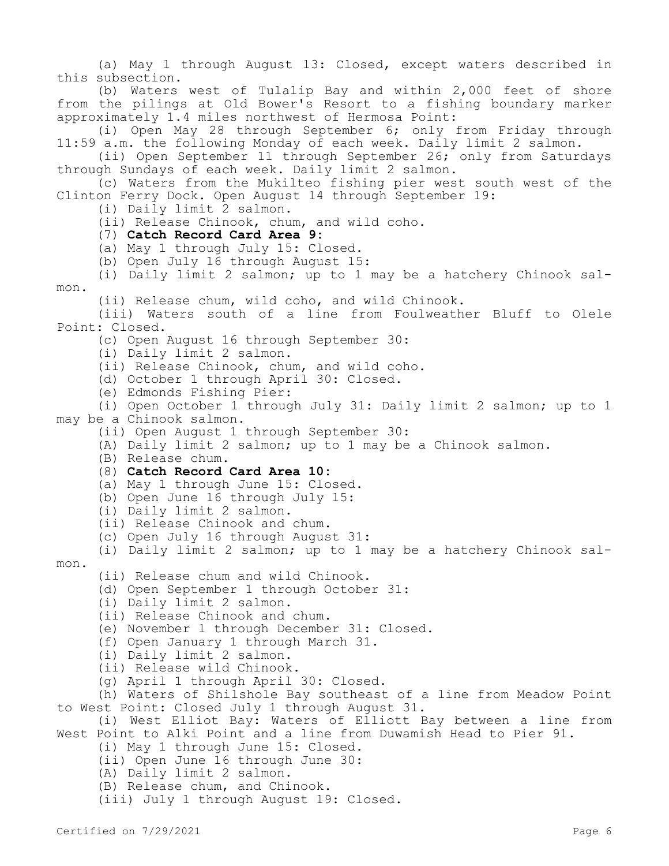(a) May 1 through August 13: Closed, except waters described in this subsection.

(b) Waters west of Tulalip Bay and within 2,000 feet of shore from the pilings at Old Bower's Resort to a fishing boundary marker approximately 1.4 miles northwest of Hermosa Point:

(i) Open May 28 through September 6; only from Friday through 11:59 a.m. the following Monday of each week. Daily limit 2 salmon.

(ii) Open September 11 through September 26; only from Saturdays through Sundays of each week. Daily limit 2 salmon.

(c) Waters from the Mukilteo fishing pier west south west of the Clinton Ferry Dock. Open August 14 through September 19:

(i) Daily limit 2 salmon.

(ii) Release Chinook, chum, and wild coho.

- (7) **Catch Record Card Area 9:**
- (a) May 1 through July 15: Closed.
- (b) Open July 16 through August 15:

(i) Daily limit 2 salmon; up to 1 may be a hatchery Chinook salmon.

(ii) Release chum, wild coho, and wild Chinook.

(iii) Waters south of a line from Foulweather Bluff to Olele Point: Closed.

(c) Open August 16 through September 30:

(i) Daily limit 2 salmon.

(ii) Release Chinook, chum, and wild coho.

- (d) October 1 through April 30: Closed.
- (e) Edmonds Fishing Pier:

(i) Open October 1 through July 31: Daily limit 2 salmon; up to 1 may be a Chinook salmon.

(ii) Open August 1 through September 30:

- (A) Daily limit 2 salmon; up to 1 may be a Chinook salmon.
- (B) Release chum.
- (8) **Catch Record Card Area 10:**
- (a) May 1 through June 15: Closed.
- (b) Open June 16 through July 15:
- (i) Daily limit 2 salmon.
- (ii) Release Chinook and chum.
- (c) Open July 16 through August 31:

(i) Daily limit 2 salmon; up to 1 may be a hatchery Chinook sal-

mon.

- (ii) Release chum and wild Chinook.
- (d) Open September 1 through October 31:
- (i) Daily limit 2 salmon.
- (ii) Release Chinook and chum.
- (e) November 1 through December 31: Closed.
- (f) Open January 1 through March 31.
- (i) Daily limit 2 salmon.
- (ii) Release wild Chinook.
- (g) April 1 through April 30: Closed.

(h) Waters of Shilshole Bay southeast of a line from Meadow Point to West Point: Closed July 1 through August 31.

(i) West Elliot Bay: Waters of Elliott Bay between a line from West Point to Alki Point and a line from Duwamish Head to Pier 91.

- (i) May 1 through June 15: Closed.
- (ii) Open June 16 through June 30:
- (A) Daily limit 2 salmon.
- (B) Release chum, and Chinook.
- (iii) July 1 through August 19: Closed.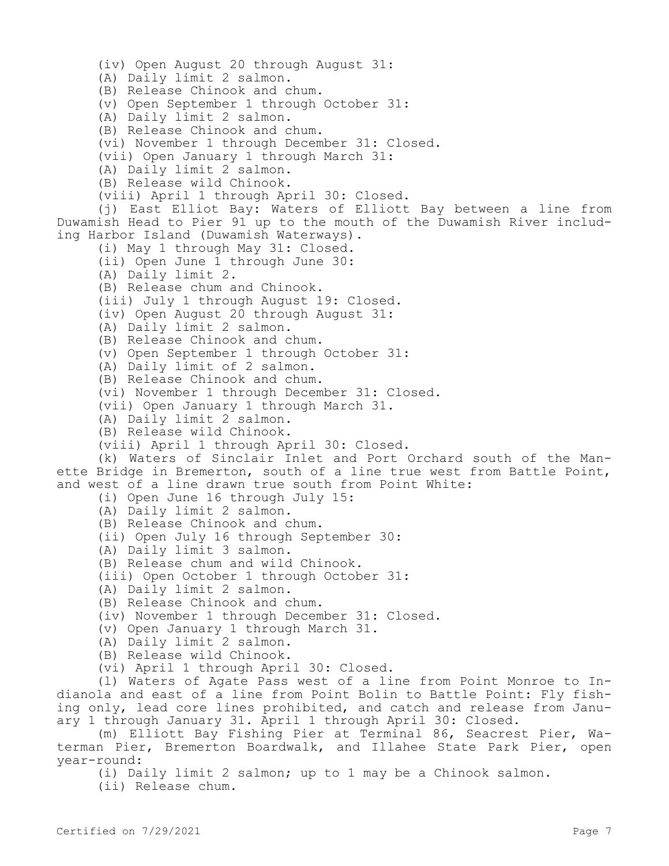(iv) Open August 20 through August 31: (A) Daily limit 2 salmon. (B) Release Chinook and chum. (v) Open September 1 through October 31: (A) Daily limit 2 salmon. (B) Release Chinook and chum. (vi) November 1 through December 31: Closed. (vii) Open January 1 through March 31: (A) Daily limit 2 salmon. (B) Release wild Chinook. (viii) April 1 through April 30: Closed. (j) East Elliot Bay: Waters of Elliott Bay between a line from Duwamish Head to Pier 91 up to the mouth of the Duwamish River including Harbor Island (Duwamish Waterways). (i) May 1 through May 31: Closed. (ii) Open June 1 through June 30: (A) Daily limit 2. (B) Release chum and Chinook. (iii) July 1 through August 19: Closed. (iv) Open August 20 through August 31: (A) Daily limit 2 salmon. (B) Release Chinook and chum. (v) Open September 1 through October 31: (A) Daily limit of 2 salmon. (B) Release Chinook and chum. (vi) November 1 through December 31: Closed. (vii) Open January 1 through March 31. (A) Daily limit 2 salmon. (B) Release wild Chinook. (viii) April 1 through April 30: Closed. (k) Waters of Sinclair Inlet and Port Orchard south of the Manette Bridge in Bremerton, south of a line true west from Battle Point, and west of a line drawn true south from Point White: (i) Open June 16 through July 15: (A) Daily limit 2 salmon. (B) Release Chinook and chum. (ii) Open July 16 through September 30: (A) Daily limit 3 salmon. (B) Release chum and wild Chinook. (iii) Open October 1 through October 31: (A) Daily limit 2 salmon. (B) Release Chinook and chum. (iv) November 1 through December 31: Closed. (v) Open January 1 through March 31. (A) Daily limit 2 salmon. (B) Release wild Chinook. (vi) April 1 through April 30: Closed. (l) Waters of Agate Pass west of a line from Point Monroe to Indianola and east of a line from Point Bolin to Battle Point: Fly fishing only, lead core lines prohibited, and catch and release from January 1 through January 31. April 1 through April 30: Closed. (m) Elliott Bay Fishing Pier at Terminal 86, Seacrest Pier, Waterman Pier, Bremerton Boardwalk, and Illahee State Park Pier, open year-round:

(i) Daily limit 2 salmon; up to 1 may be a Chinook salmon.

(ii) Release chum.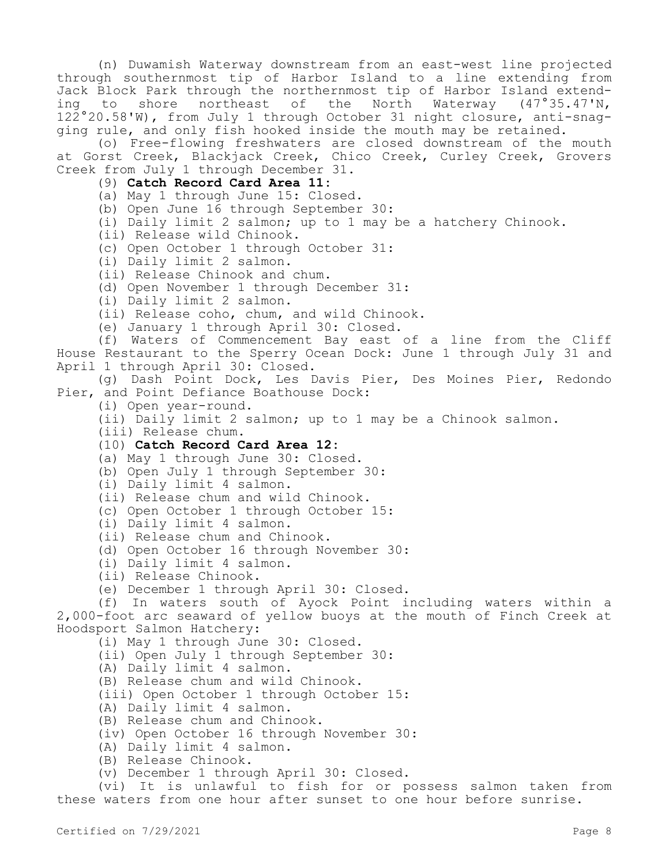(n) Duwamish Waterway downstream from an east-west line projected through southernmost tip of Harbor Island to a line extending from Jack Block Park through the northernmost tip of Harbor Island extending to shore northeast of the North Waterway (47°35.47'N, 122°20.58'W), from July 1 through October 31 night closure, anti-snagging rule, and only fish hooked inside the mouth may be retained.

(o) Free-flowing freshwaters are closed downstream of the mouth at Gorst Creek, Blackjack Creek, Chico Creek, Curley Creek, Grovers Creek from July 1 through December 31.

(9) **Catch Record Card Area 11:**

(a) May 1 through June 15: Closed.

(b) Open June 16 through September 30:

(i) Daily limit 2 salmon; up to 1 may be a hatchery Chinook.

(ii) Release wild Chinook.

(c) Open October 1 through October 31:

(i) Daily limit 2 salmon.

(ii) Release Chinook and chum.

(d) Open November 1 through December 31:

(i) Daily limit 2 salmon.

(ii) Release coho, chum, and wild Chinook.

(e) January 1 through April 30: Closed.

(f) Waters of Commencement Bay east of a line from the Cliff House Restaurant to the Sperry Ocean Dock: June 1 through July 31 and April 1 through April 30: Closed.

(g) Dash Point Dock, Les Davis Pier, Des Moines Pier, Redondo Pier, and Point Defiance Boathouse Dock:

(i) Open year-round.

(ii) Daily limit 2 salmon; up to 1 may be a Chinook salmon.

(iii) Release chum.

## (10) **Catch Record Card Area 12:**

(a) May 1 through June 30: Closed.

(b) Open July 1 through September 30:

(i) Daily limit 4 salmon.

(ii) Release chum and wild Chinook.

(c) Open October 1 through October 15:

(i) Daily limit 4 salmon.

(ii) Release chum and Chinook.

(d) Open October 16 through November 30:

(i) Daily limit 4 salmon.

(ii) Release Chinook.

(e) December 1 through April 30: Closed.

(f) In waters south of Ayock Point including waters within a 2,000-foot arc seaward of yellow buoys at the mouth of Finch Creek at Hoodsport Salmon Hatchery:

(i) May 1 through June 30: Closed.

(ii) Open July 1 through September 30:

(A) Daily limit 4 salmon.

(B) Release chum and wild Chinook.

(iii) Open October 1 through October 15:

(A) Daily limit 4 salmon.

(B) Release chum and Chinook.

(iv) Open October 16 through November 30:

(A) Daily limit 4 salmon.

(B) Release Chinook.

(v) December 1 through April 30: Closed.

(vi) It is unlawful to fish for or possess salmon taken from these waters from one hour after sunset to one hour before sunrise.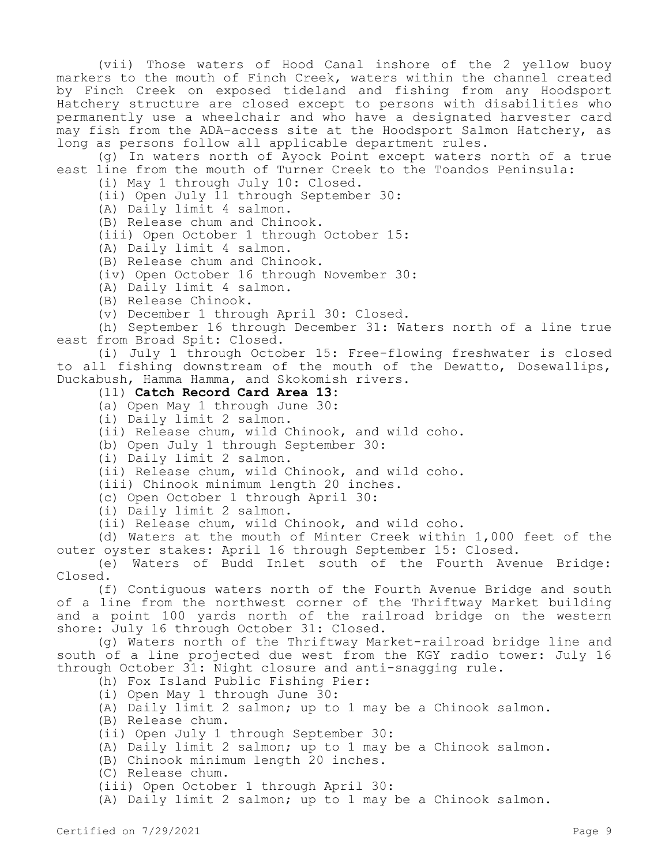(vii) Those waters of Hood Canal inshore of the 2 yellow buoy markers to the mouth of Finch Creek, waters within the channel created by Finch Creek on exposed tideland and fishing from any Hoodsport Hatchery structure are closed except to persons with disabilities who permanently use a wheelchair and who have a designated harvester card may fish from the ADA–access site at the Hoodsport Salmon Hatchery, as long as persons follow all applicable department rules.

(g) In waters north of Ayock Point except waters north of a true east line from the mouth of Turner Creek to the Toandos Peninsula:

(i) May 1 through July 10: Closed.

(ii) Open July 11 through September 30:

(A) Daily limit 4 salmon.

(B) Release chum and Chinook.

(iii) Open October 1 through October 15:

(A) Daily limit 4 salmon.

(B) Release chum and Chinook.

(iv) Open October 16 through November 30:

(A) Daily limit 4 salmon.

(B) Release Chinook.

(v) December 1 through April 30: Closed.

(h) September 16 through December 31: Waters north of a line true east from Broad Spit: Closed.

(i) July 1 through October 15: Free-flowing freshwater is closed to all fishing downstream of the mouth of the Dewatto, Dosewallips, Duckabush, Hamma Hamma, and Skokomish rivers.

## (11) **Catch Record Card Area 13:**

(a) Open May 1 through June 30:

(i) Daily limit 2 salmon.

(ii) Release chum, wild Chinook, and wild coho.

(b) Open July 1 through September 30:

(i) Daily limit 2 salmon.

(ii) Release chum, wild Chinook, and wild coho.

(iii) Chinook minimum length 20 inches.

(c) Open October 1 through April 30:

(i) Daily limit 2 salmon.

(ii) Release chum, wild Chinook, and wild coho.

(d) Waters at the mouth of Minter Creek within 1,000 feet of the outer oyster stakes: April 16 through September 15: Closed.

(e) Waters of Budd Inlet south of the Fourth Avenue Bridge: Closed.

(f) Contiguous waters north of the Fourth Avenue Bridge and south of a line from the northwest corner of the Thriftway Market building and a point 100 yards north of the railroad bridge on the western shore: July 16 through October 31: Closed.

(g) Waters north of the Thriftway Market-railroad bridge line and south of a line projected due west from the KGY radio tower: July 16 through October 31: Night closure and anti-snagging rule.

(h) Fox Island Public Fishing Pier:

(i) Open May 1 through June 30:

(A) Daily limit 2 salmon; up to 1 may be a Chinook salmon.

(B) Release chum.

(ii) Open July 1 through September 30:

(A) Daily limit 2 salmon; up to 1 may be a Chinook salmon.

(B) Chinook minimum length 20 inches.

(C) Release chum.

(iii) Open October 1 through April 30:

(A) Daily limit 2 salmon; up to 1 may be a Chinook salmon.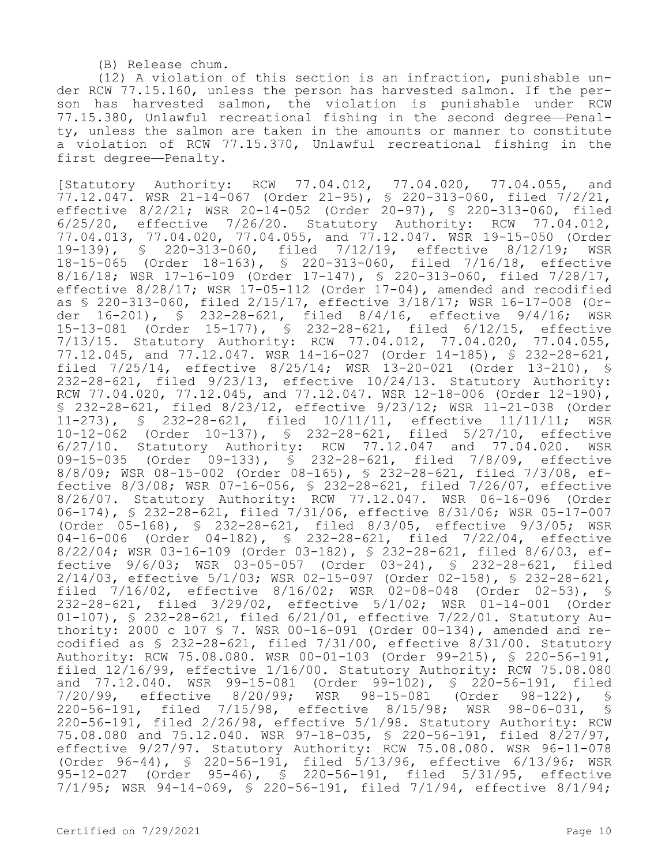(B) Release chum.

(12) A violation of this section is an infraction, punishable under RCW 77.15.160, unless the person has harvested salmon. If the person has harvested salmon, the violation is punishable under RCW 77.15.380, Unlawful recreational fishing in the second degree—Penalty, unless the salmon are taken in the amounts or manner to constitute a violation of RCW 77.15.370, Unlawful recreational fishing in the first degree—Penalty.

[Statutory Authority: RCW 77.04.012, 77.04.020, 77.04.055, and 77.12.047. WSR 21-14-067 (Order 21-95), § 220-313-060, filed 7/2/21, effective 8/2/21; WSR 20-14-052 (Order 20-97), § 220-313-060, filed 6/25/20, effective 7/26/20. Statutory Authority: RCW 77.04.012, 77.04.013, 77.04.020, 77.04.055, and 77.12.047. WSR 19-15-050 (Order 19-139), § 220-313-060, filed 7/12/19, effective 8/12/19; WSR 18-15-065 (Order 18-163), § 220-313-060, filed 7/16/18, effective 8/16/18; WSR 17-16-109 (Order 17-147), § 220-313-060, filed 7/28/17, effective 8/28/17; WSR 17-05-112 (Order 17-04), amended and recodified as § 220-313-060, filed 2/15/17, effective 3/18/17; WSR 16-17-008 (Order 16-201), § 232-28-621, filed 8/4/16, effective 9/4/16; WSR 15-13-081 (Order 15-177), § 232-28-621, filed 6/12/15, effective 7/13/15. Statutory Authority: RCW 77.04.012, 77.04.020, 77.04.055, 77.12.045, and 77.12.047. WSR 14-16-027 (Order 14-185), § 232-28-621, filed 7/25/14, effective 8/25/14; WSR 13-20-021 (Order 13-210), § 232-28-621, filed 9/23/13, effective 10/24/13. Statutory Authority: RCW 77.04.020, 77.12.045, and 77.12.047. WSR 12-18-006 (Order 12-190), § 232-28-621, filed 8/23/12, effective 9/23/12; WSR 11-21-038 (Order 11-273), § 232-28-621, filed 10/11/11, effective 11/11/11; WSR 10-12-062 (Order 10-137), § 232-28-621, filed 5/27/10, effective 6/27/10. Statutory Authority: RCW 77.12.047 and 77.04.020. WSR 09-15-035 (Order 09-133), § 232-28-621, filed 7/8/09, effective 8/8/09; WSR 08-15-002 (Order 08-165), § 232-28-621, filed 7/3/08, effective 8/3/08; WSR 07-16-056, § 232-28-621, filed 7/26/07, effective 8/26/07. Statutory Authority: RCW 77.12.047. WSR 06-16-096 (Order 06-174), § 232-28-621, filed 7/31/06, effective 8/31/06; WSR 05-17-007 (Order 05-168), § 232-28-621, filed 8/3/05, effective 9/3/05; WSR 04-16-006 (Order 04-182), § 232-28-621, filed 7/22/04, effective 8/22/04; WSR 03-16-109 (Order 03-182), § 232-28-621, filed 8/6/03, effective 9/6/03; WSR 03-05-057 (Order 03-24), § 232-28-621, filed 2/14/03, effective 5/1/03; WSR 02-15-097 (Order 02-158), § 232-28-621, filed 7/16/02, effective 8/16/02; WSR 02-08-048 (Order 02-53), § 232-28-621, filed 3/29/02, effective 5/1/02; WSR 01-14-001 (Order 01-107), § 232-28-621, filed 6/21/01, effective 7/22/01. Statutory Authority: 2000 c 107 § 7. WSR 00-16-091 (Order 00-134), amended and recodified as § 232-28-621, filed 7/31/00, effective 8/31/00. Statutory Authority: RCW 75.08.080. WSR 00-01-103 (Order 99-215), § 220-56-191, filed 12/16/99, effective 1/16/00. Statutory Authority: RCW 75.08.080 and 77.12.040. WSR 99-15-081 (Order 99-102), § 220-56-191, filed<br>7/20/99, effective 8/20/99; WSR 98-15-081 (Order 98-122), § 7/20/99, effective 8/20/99; WSR 98-15-081 (Order 98-122), § 220-56-191, filed 7/15/98, effective 8/15/98; WSR 98-06-031, § 220-56-191, filed 2/26/98, effective 5/1/98. Statutory Authority: RCW 75.08.080 and 75.12.040. WSR 97-18-035, § 220-56-191, filed 8/27/97, effective 9/27/97. Statutory Authority: RCW 75.08.080. WSR 96-11-078 (Order 96-44), § 220-56-191, filed 5/13/96, effective 6/13/96; WSR 95-12-027 (Order 95-46), § 220-56-191, filed 5/31/95, effective 7/1/95; WSR 94-14-069, § 220-56-191, filed 7/1/94, effective 8/1/94;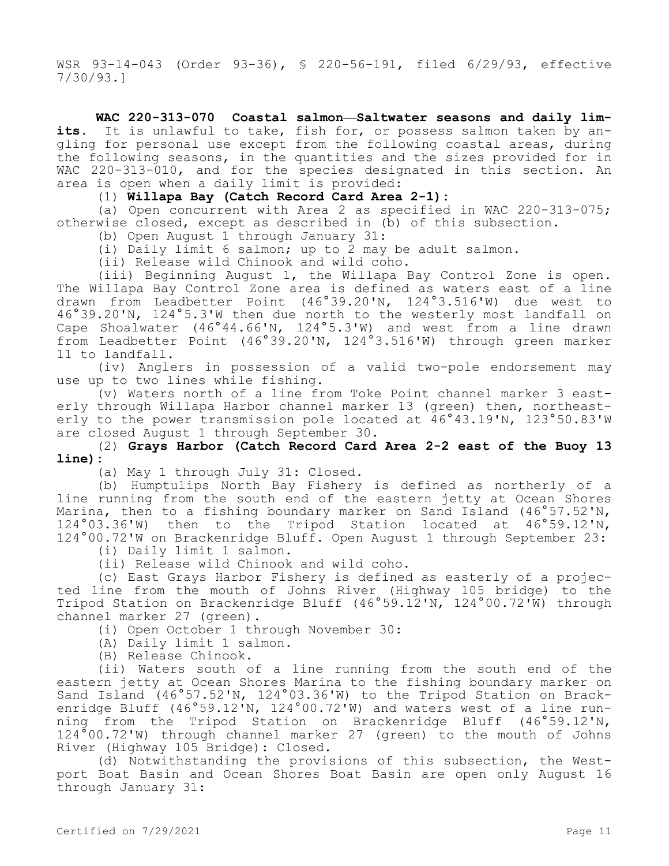WSR 93-14-043 (Order 93-36), § 220-56-191, filed 6/29/93, effective 7/30/93.]

**WAC 220-313-070 Coastal salmon—Saltwater seasons and daily limits.** It is unlawful to take, fish for, or possess salmon taken by angling for personal use except from the following coastal areas, during the following seasons, in the quantities and the sizes provided for in WAC 220-313-010, and for the species designated in this section. An area is open when a daily limit is provided:

(1) **Willapa Bay (Catch Record Card Area 2-1):**

(a) Open concurrent with Area 2 as specified in WAC 220-313-075; otherwise closed, except as described in (b) of this subsection.

(b) Open August 1 through January 31:

(i) Daily limit 6 salmon; up to 2 may be adult salmon.

(ii) Release wild Chinook and wild coho.

(iii) Beginning August 1, the Willapa Bay Control Zone is open. The Willapa Bay Control Zone area is defined as waters east of a line drawn from Leadbetter Point (46°39.20'N, 124°3.516'W) due west to 46°39.20'N, 124°5.3'W then due north to the westerly most landfall on Cape Shoalwater (46°44.66'N, 124°5.3'W) and west from a line drawn from Leadbetter Point (46°39.20'N, 124°3.516'W) through green marker 11 to landfall.

(iv) Anglers in possession of a valid two-pole endorsement may use up to two lines while fishing.

(v) Waters north of a line from Toke Point channel marker 3 easterly through Willapa Harbor channel marker 13 (green) then, northeasterly to the power transmission pole located at 46°43.19'N, 123°50.83'W are closed August 1 through September 30.

(2) **Grays Harbor (Catch Record Card Area 2-2 east of the Buoy 13 line):**

(a) May 1 through July 31: Closed.

(b) Humptulips North Bay Fishery is defined as northerly of a line running from the south end of the eastern jetty at Ocean Shores Marina, then to a fishing boundary marker on Sand Island (46°57.52'N,<br>124°03.36'W) then to the Tripod Station located at 46°59.12'N, 124°03.36'W) then to the Tripod Station located at 124°00.72'W on Brackenridge Bluff. Open August 1 through September 23:

(i) Daily limit 1 salmon.

(ii) Release wild Chinook and wild coho.

(c) East Grays Harbor Fishery is defined as easterly of a projected line from the mouth of Johns River (Highway 105 bridge) to the Tripod Station on Brackenridge Bluff (46°59.12'N, 124°00.72'W) through channel marker 27 (green).

(i) Open October 1 through November 30:

(A) Daily limit 1 salmon.

(B) Release Chinook.

(ii) Waters south of a line running from the south end of the eastern jetty at Ocean Shores Marina to the fishing boundary marker on Sand Island (46°57.52'N, 124°03.36'W) to the Tripod Station on Brackenridge Bluff (46°59.12'N, 124°00.72'W) and waters west of a line running from the Tripod Station on Brackenridge Bluff (46°59.12'N, 124°00.72'W) through channel marker 27 (green) to the mouth of Johns River (Highway 105 Bridge): Closed.

(d) Notwithstanding the provisions of this subsection, the Westport Boat Basin and Ocean Shores Boat Basin are open only August 16 through January 31: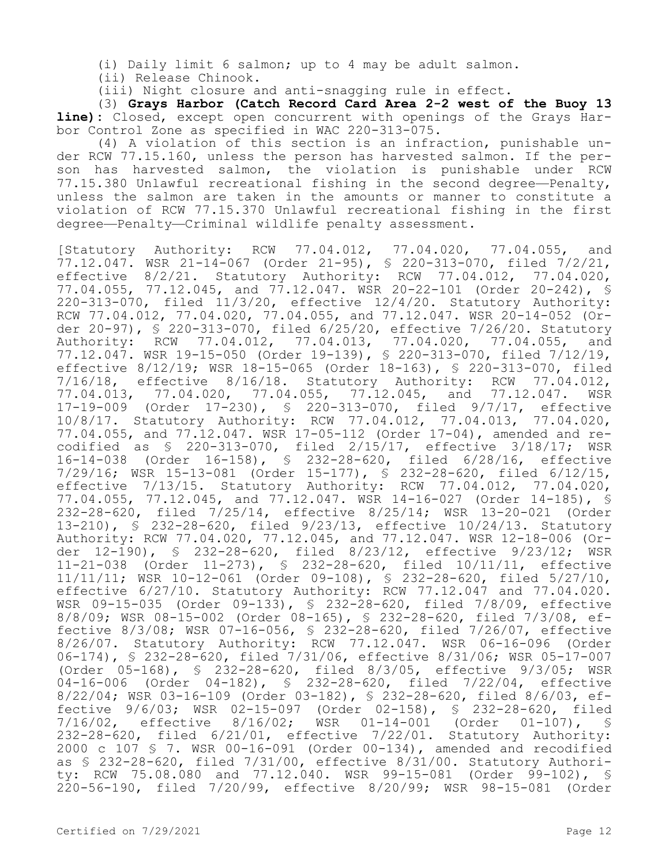(i) Daily limit 6 salmon; up to 4 may be adult salmon.

(ii) Release Chinook.

(iii) Night closure and anti-snagging rule in effect.

(3) **Grays Harbor (Catch Record Card Area 2-2 west of the Buoy 13 line):** Closed, except open concurrent with openings of the Grays Harbor Control Zone as specified in WAC 220-313-075.

(4) A violation of this section is an infraction, punishable under RCW 77.15.160, unless the person has harvested salmon. If the person has harvested salmon, the violation is punishable under RCW 77.15.380 Unlawful recreational fishing in the second degree—Penalty, unless the salmon are taken in the amounts or manner to constitute a violation of RCW 77.15.370 Unlawful recreational fishing in the first degree—Penalty—Criminal wildlife penalty assessment.

[Statutory Authority: RCW 77.04.012, 77.04.020, 77.04.055, and 77.12.047. WSR 21-14-067 (Order 21-95), § 220-313-070, filed 7/2/21, effective 8/2/21. Statutory Authority: RCW 77.04.012, 77.04.020, 77.04.055, 77.12.045, and 77.12.047. WSR 20-22-101 (Order 20-242), § 220-313-070, filed 11/3/20, effective 12/4/20. Statutory Authority: RCW 77.04.012, 77.04.020, 77.04.055, and 77.12.047. WSR 20-14-052 (Order 20-97), § 220-313-070, filed 6/25/20, effective 7/26/20. Statutory Authority: RCW 77.04.012, 77.04.013, 77.04.020, 77.04.055, and 77.12.047. WSR 19-15-050 (Order 19-139), § 220-313-070, filed 7/12/19, effective 8/12/19; WSR 18-15-065 (Order 18-163), § 220-313-070, filed 7/16/18, effective 8/16/18. Statutory Authority: RCW 77.04.012, 77.04.013, 77.04.020, 77.04.055, 77.12.045, and 77.12.047. WSR 17-19-009 (Order 17-230), § 220-313-070, filed 9/7/17, effective 10/8/17. Statutory Authority: RCW 77.04.012, 77.04.013, 77.04.020, 77.04.055, and 77.12.047. WSR 17-05-112 (Order 17-04), amended and recodified as § 220-313-070, filed 2/15/17, effective 3/18/17; WSR 16-14-038 (Order 16-158), § 232-28-620, filed 6/28/16, effective 7/29/16; WSR 15-13-081 (Order 15-177), § 232-28-620, filed 6/12/15, effective 7/13/15. Statutory Authority: RCW 77.04.012, 77.04.020, 77.04.055, 77.12.045, and 77.12.047. WSR 14-16-027 (Order 14-185), § 232-28-620, filed 7/25/14, effective 8/25/14; WSR 13-20-021 (Order 13-210), § 232-28-620, filed 9/23/13, effective 10/24/13. Statutory Authority: RCW 77.04.020, 77.12.045, and 77.12.047. WSR 12-18-006 (Order 12-190), § 232-28-620, filed 8/23/12, effective 9/23/12; WSR 11-21-038 (Order 11-273), § 232-28-620, filed 10/11/11, effective 11/11/11; WSR 10-12-061 (Order 09-108), § 232-28-620, filed 5/27/10, effective 6/27/10. Statutory Authority: RCW 77.12.047 and 77.04.020. WSR 09-15-035 (Order 09-133), § 232-28-620, filed 7/8/09, effective 8/8/09; WSR 08-15-002 (Order 08-165), § 232-28-620, filed 7/3/08, effective 8/3/08; WSR 07-16-056, § 232-28-620, filed 7/26/07, effective 8/26/07. Statutory Authority: RCW 77.12.047. WSR 06-16-096 (Order 06-174), § 232-28-620, filed 7/31/06, effective 8/31/06; WSR 05-17-007 (Order 05-168), § 232-28-620, filed 8/3/05, effective 9/3/05; WSR 04-16-006 (Order 04-182), § 232-28-620, filed 7/22/04, effective 8/22/04; WSR 03-16-109 (Order 03-182), § 232-28-620, filed 8/6/03, effective 9/6/03; WSR 02-15-097 (Order 02-158), § 232-28-620, filed 7/16/02, effective 8/16/02; WSR 01-14-001 (Order 01-107), § 232-28-620, filed 6/21/01, effective 7/22/01. Statutory Authority: 2000 c 107 § 7. WSR 00-16-091 (Order 00-134), amended and recodified as § 232-28-620, filed 7/31/00, effective 8/31/00. Statutory Authority: RCW 75.08.080 and 77.12.040. WSR 99-15-081 (Order 99-102), § 220-56-190, filed 7/20/99, effective 8/20/99; WSR 98-15-081 (Order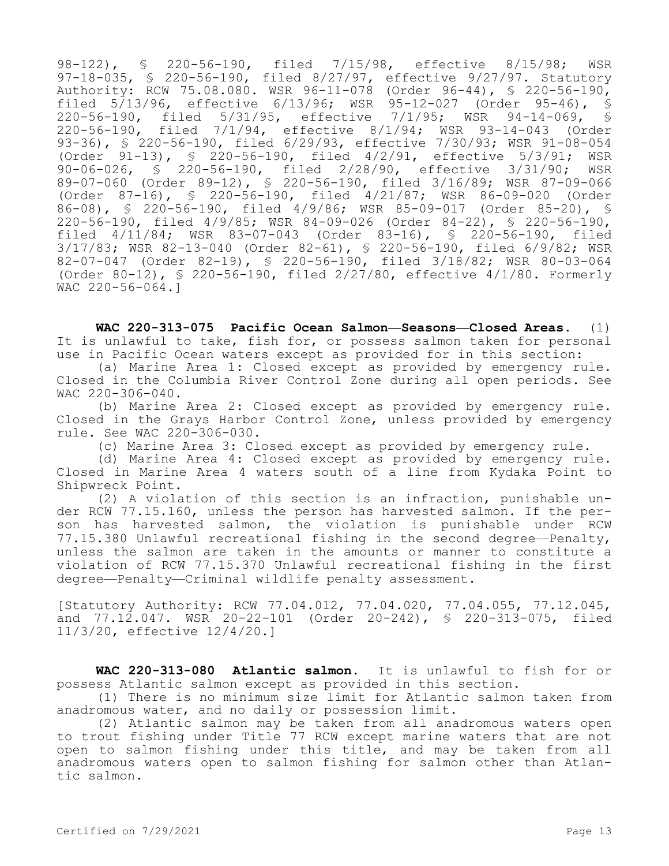98-122), § 220-56-190, filed 7/15/98, effective 8/15/98; WSR 97-18-035, § 220-56-190, filed 8/27/97, effective 9/27/97. Statutory Authority: RCW 75.08.080. WSR 96-11-078 (Order 96-44), § 220-56-190, filed  $5/13/96$ , effective  $6/13/96$ ; WSR 95-12-027 (Order 95-46), §<br>220-56-190, filed 5/31/95, effective 7/1/95; WSR 94-14-069, § 220-56-190, filed 5/31/95, effective 7/1/95; WSR 94-14-069, 220-56-190, filed 7/1/94, effective 8/1/94; WSR 93-14-043 (Order 93-36), § 220-56-190, filed 6/29/93, effective 7/30/93; WSR 91-08-054 (Order 91-13), § 220-56-190, filed 4/2/91, effective 5/3/91; WSR 90-06-026, § 220-56-190, filed 2/28/90, effective 3/31/90; WSR 89-07-060 (Order 89-12), § 220-56-190, filed 3/16/89; WSR 87-09-066 (Order 87-16), § 220-56-190, filed 4/21/87; WSR 86-09-020 (Order 86-08), § 220-56-190, filed 4/9/86; WSR 85-09-017 (Order 85-20), § 220-56-190, filed 4/9/85; WSR 84-09-026 (Order 84-22), § 220-56-190, filed 4/11/84; WSR 83-07-043 (Order 83-16), § 220-56-190, filed 3/17/83; WSR 82-13-040 (Order 82-61), § 220-56-190, filed 6/9/82; WSR 82-07-047 (Order 82-19), § 220-56-190, filed 3/18/82; WSR 80-03-064 (Order 80-12), § 220-56-190, filed 2/27/80, effective 4/1/80. Formerly WAC 220-56-064.]

**WAC 220-313-075 Pacific Ocean Salmon—Seasons—Closed Areas.** (1) It is unlawful to take, fish for, or possess salmon taken for personal use in Pacific Ocean waters except as provided for in this section:

(a) Marine Area 1: Closed except as provided by emergency rule. Closed in the Columbia River Control Zone during all open periods. See WAC 220-306-040.

(b) Marine Area 2: Closed except as provided by emergency rule. Closed in the Grays Harbor Control Zone, unless provided by emergency rule. See WAC 220-306-030.

(c) Marine Area 3: Closed except as provided by emergency rule.

(d) Marine Area 4: Closed except as provided by emergency rule. Closed in Marine Area 4 waters south of a line from Kydaka Point to Shipwreck Point.

(2) A violation of this section is an infraction, punishable under RCW 77.15.160, unless the person has harvested salmon. If the person has harvested salmon, the violation is punishable under RCW 77.15.380 Unlawful recreational fishing in the second degree—Penalty, unless the salmon are taken in the amounts or manner to constitute a violation of RCW 77.15.370 Unlawful recreational fishing in the first degree—Penalty—Criminal wildlife penalty assessment.

[Statutory Authority: RCW 77.04.012, 77.04.020, 77.04.055, 77.12.045, and 77.12.047. WSR 20-22-101 (Order 20-242), § 220-313-075, filed 11/3/20, effective 12/4/20.]

**WAC 220-313-080 Atlantic salmon.** It is unlawful to fish for or possess Atlantic salmon except as provided in this section.

(1) There is no minimum size limit for Atlantic salmon taken from anadromous water, and no daily or possession limit.

(2) Atlantic salmon may be taken from all anadromous waters open to trout fishing under Title 77 RCW except marine waters that are not open to salmon fishing under this title, and may be taken from all anadromous waters open to salmon fishing for salmon other than Atlantic salmon.